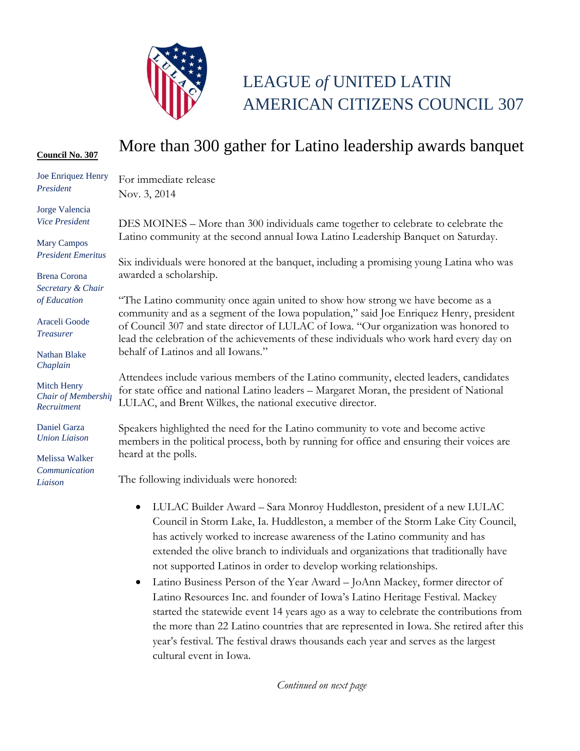

## LEAGUE *of* UNITED LATIN AMERICAN CITIZENS COUNCIL 307

## **Council No. 307** More than 300 gather for Latino leadership awards banquet

| Joe Enriquez Henry<br>President                          | For immediate release                                                                                                                                                                                                                                                      |
|----------------------------------------------------------|----------------------------------------------------------------------------------------------------------------------------------------------------------------------------------------------------------------------------------------------------------------------------|
|                                                          | Nov. 3, 2014                                                                                                                                                                                                                                                               |
| Jorge Valencia                                           |                                                                                                                                                                                                                                                                            |
| <b>Vice President</b>                                    | DES MOINES - More than 300 individuals came together to celebrate to celebrate the                                                                                                                                                                                         |
| <b>Mary Campos</b>                                       | Latino community at the second annual Iowa Latino Leadership Banquet on Saturday.                                                                                                                                                                                          |
| <b>President Emeritus</b>                                | Six individuals were honored at the banquet, including a promising young Latina who was                                                                                                                                                                                    |
| <b>Brena</b> Corona                                      | awarded a scholarship.                                                                                                                                                                                                                                                     |
| Secretary & Chair                                        |                                                                                                                                                                                                                                                                            |
| of Education                                             | The Latino community once again united to show how strong we have become as a                                                                                                                                                                                              |
| Araceli Goode<br><b>Treasurer</b>                        | community and as a segment of the Iowa population," said Joe Enriquez Henry, president<br>of Council 307 and state director of LULAC of Iowa. "Our organization was honored to<br>lead the celebration of the achievements of these individuals who work hard every day on |
| <b>Nathan Blake</b><br>Chaplain                          | behalf of Latinos and all Iowans."                                                                                                                                                                                                                                         |
| <b>Mitch Henry</b><br>Chair of Membership<br>Recruitment | Attendees include various members of the Latino community, elected leaders, candidates<br>for state office and national Latino leaders - Margaret Moran, the president of National<br>LULAC, and Brent Wilkes, the national executive director.                            |
| Daniel Garza<br><b>Union Liaison</b>                     | Speakers highlighted the need for the Latino community to vote and become active<br>members in the political process, both by running for office and ensuring their voices are                                                                                             |
| Melissa Walker                                           | heard at the polls.                                                                                                                                                                                                                                                        |
| Communication<br>Liaison                                 | The following individuals were honored:                                                                                                                                                                                                                                    |
|                                                          | LULAC Builder Award - Sara Monroy Huddleston, president of a new LULAC<br>$\bullet$<br>Council in Storm Lake, Ia. Huddleston, a member of the Storm Lake City Council,                                                                                                     |

- dleston, president of a new LULAC ember of the Storm Lake City Council, has actively worked to increase awareness of the Latino community and has extended the olive branch to individuals and organizations that traditionally have not supported Latinos in order to develop working relationships.
- Latino Business Person of the Year Award JoAnn Mackey, former director of Latino Resources Inc. and founder of Iowa's Latino Heritage Festival. Mackey started the statewide event 14 years ago as a way to celebrate the contributions from the more than 22 Latino countries that are represented in Iowa. She retired after this year's festival. The festival draws thousands each year and serves as the largest cultural event in Iowa.

*Continued on next page*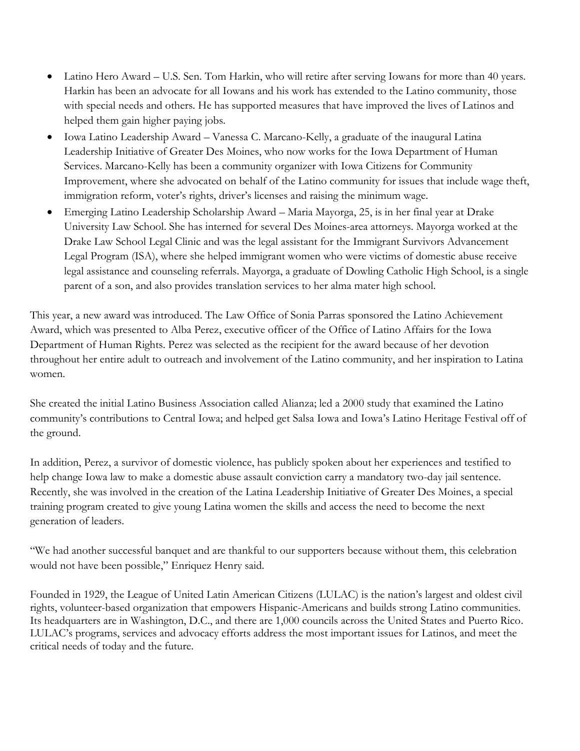- Latino Hero Award U.S. Sen. Tom Harkin, who will retire after serving Iowans for more than 40 years. Harkin has been an advocate for all Iowans and his work has extended to the Latino community, those with special needs and others. He has supported measures that have improved the lives of Latinos and helped them gain higher paying jobs.
- Iowa Latino Leadership Award Vanessa C. Marcano-Kelly, a graduate of the inaugural Latina Leadership Initiative of Greater Des Moines, who now works for the Iowa Department of Human Services. Marcano-Kelly has been a community organizer with Iowa Citizens for Community Improvement, where she advocated on behalf of the Latino community for issues that include wage theft, immigration reform, voter's rights, driver's licenses and raising the minimum wage.
- Emerging Latino Leadership Scholarship Award Maria Mayorga, 25, is in her final year at Drake University Law School. She has interned for several Des Moines-area attorneys. Mayorga worked at the Drake Law School Legal Clinic and was the legal assistant for the Immigrant Survivors Advancement Legal Program (ISA), where she helped immigrant women who were victims of domestic abuse receive legal assistance and counseling referrals. Mayorga, a graduate of Dowling Catholic High School, is a single parent of a son, and also provides translation services to her alma mater high school.

This year, a new award was introduced. The Law Office of Sonia Parras sponsored the Latino Achievement Award, which was presented to Alba Perez, executive officer of the Office of Latino Affairs for the Iowa Department of Human Rights. Perez was selected as the recipient for the award because of her devotion throughout her entire adult to outreach and involvement of the Latino community, and her inspiration to Latina women.

She created the initial Latino Business Association called Alianza; led a 2000 study that examined the Latino community's contributions to Central Iowa; and helped get Salsa Iowa and Iowa's Latino Heritage Festival off of the ground.

In addition, Perez, a survivor of domestic violence, has publicly spoken about her experiences and testified to help change Iowa law to make a domestic abuse assault conviction carry a mandatory two-day jail sentence. Recently, she was involved in the creation of the Latina Leadership Initiative of Greater Des Moines, a special training program created to give young Latina women the skills and access the need to become the next generation of leaders.

"We had another successful banquet and are thankful to our supporters because without them, this celebration would not have been possible," Enriquez Henry said.

Founded in 1929, the League of United Latin American Citizens (LULAC) is the nation's largest and oldest civil rights, volunteer-based organization that empowers Hispanic-Americans and builds strong Latino communities. Its headquarters are in Washington, D.C., and there are 1,000 councils across the United States and Puerto Rico. LULAC's programs, services and advocacy efforts address the most important issues for Latinos, and meet the critical needs of today and the future.